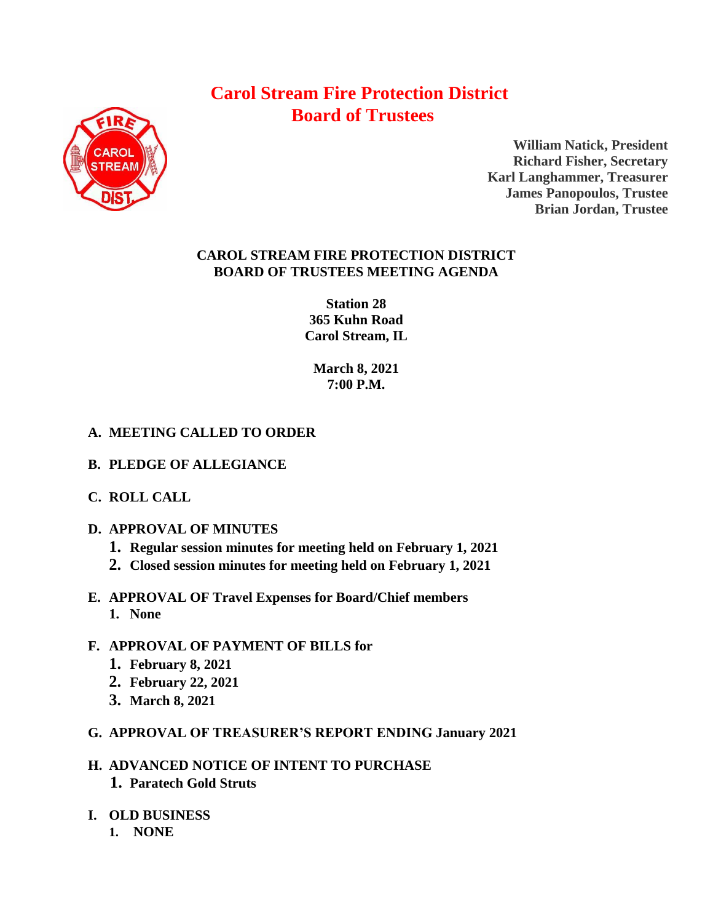# **Carol Stream Fire Protection District Board of Trustees**



**William Natick, President Richard Fisher, Secretary Karl Langhammer, Treasurer James Panopoulos, Trustee Brian Jordan, Trustee**

## **CAROL STREAM FIRE PROTECTION DISTRICT BOARD OF TRUSTEES MEETING AGENDA**

**Station 28 365 Kuhn Road Carol Stream, IL** 

**March 8, 2021 7:00 P.M.**

# **A. MEETING CALLED TO ORDER**

- **B. PLEDGE OF ALLEGIANCE**
- **C. ROLL CALL**
- **D. APPROVAL OF MINUTES**
	- **1. Regular session minutes for meeting held on February 1, 2021**
	- **2. Closed session minutes for meeting held on February 1, 2021**
- **E. APPROVAL OF Travel Expenses for Board/Chief members 1. None**

# **F. APPROVAL OF PAYMENT OF BILLS for**

- **1. February 8, 2021**
- **2. February 22, 2021**
- **3. March 8, 2021**
- **G. APPROVAL OF TREASURER'S REPORT ENDING January 2021**
- **H. ADVANCED NOTICE OF INTENT TO PURCHASE 1. Paratech Gold Struts**
- **I. OLD BUSINESS**
	- **1. NONE**